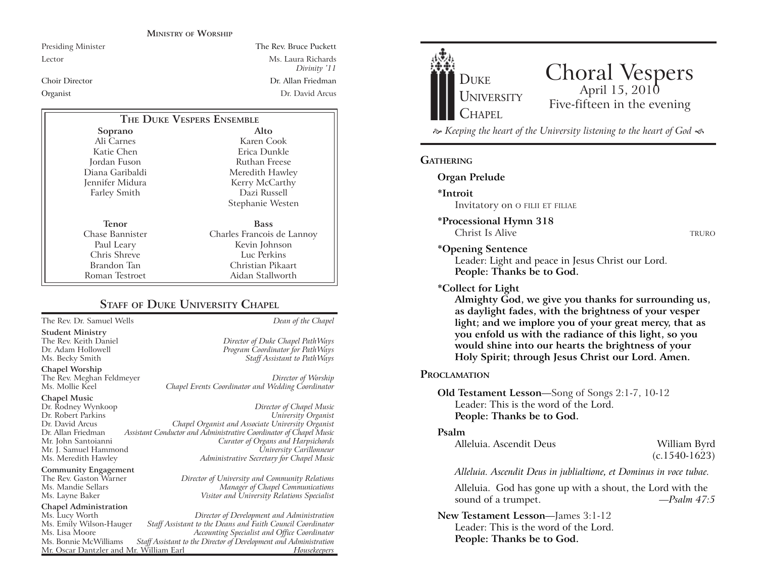#### **MINISTRY OF WORSHIP**

Presiding Minister The Rev. Bruce Puckett Lector Ms. Laura Richards *Divinity '11* Choir Director Dr. Allan FriedmanOrganist Dr. David Arcus

| THE DUKE VESPERS ENSEMBLE |                            |
|---------------------------|----------------------------|
| Soprano                   | Alto                       |
| Ali Carnes                | Karen Cook                 |
| Katie Chen                | Erica Dunkle               |
| Jordan Fuson              | Ruthan Freese              |
| Diana Garibaldi           | Meredith Hawley            |
| Jennifer Midura           | Kerry McCarthy             |
| <b>Farley Smith</b>       | Dazi Russell               |
|                           | Stephanie Westen           |
| Tenor                     | <b>Bass</b>                |
| Chase Bannister           | Charles Francois de Lannoy |
| Paul Leary                | Kevin Johnson              |
| Chris Shreve              | Luc Perkins                |
| Brandon Tan               | Christian Pikaart          |
| Roman Testroet            | Aidan Stallworth           |

#### **STAFF OF DUKE UNIVERSITY CHAPEL**

The Rev. Dr. Samuel Wells *Dean of the Chapel*

**Student Ministry** The Rev. Keith Daniel *Director of Duke Chapel PathWays* Ms. Becky Smith *Staff Assistant to PathWays*

**Chapel Worship**

The Rev. Meghan Feldmeyer *Director of Worship* Chapel Events Coordinator and Wedding Coordinator

# **Chapel Music**

**Community Engagement**<br>The Rev. Gaston Warner

### **Chapel Administration**

Mr. Oscar Dantzler and Mr. William Earl

Dr. Rodney Wynkoop *Director of Chapel Music* Dr. Robert Parkins *University Organist* Dr. David Arcus *Chapel Organist and Associate University Organist* Dr. Allan Friedman *Assistant Conductor and Administrative Coordinator of Chapel Music* **Curator of Organs and Harpsichords** Mr. J. Samuel Hammond *University Carillonneur* Ms. Meredith Hawley *Administrative Secretary for Chapel Music*

The Rev. Gaston Warner *Director of University and Community Relations* Ms. Mandie Sellars *Manager of Chapel Communications* Ms. Layne Baker *Visitor and University Relations Specialist*

Program Coordinator for PathWays

Ms. Lucy Worth *Director of Development and Administration* Ms. Emily Wilson-Hauger *Staff Assistant to the Deans and Faith Council Coordinator* Ms. Lisa Moore *Accounting Specialist and Office Coordinator* Staff Assistant to the Director of Development and Administration<br>Fassistant Director of Development and *Housekeepers* 



## Choral Vespers Five-fifteen in the evening

 *Keeping the heart of the University listening to the heart of God* 

#### **GATHERING**

#### **Organ Prelude**

**\*Introit** 

Invitatory on O FILII ET FILIAE

**\*Processional Hymn 318** Christ Is Alive TRURO

#### **\*Opening Sentence**

Leader: Light and peace in Jesus Christ our Lord. **People: Thanks be to God.**

#### **\*Collect for Light**

**Almighty God, we give you thanks for surrounding us, as daylight fades, with the brightness of your vesper light; and we implore you of your great mercy, that as you enfold us with the radiance of this light, so you would shine into our hearts the brightness of your Holy Spirit; through Jesus Christ our Lord. Amen.** 

#### **PROCLAMATION**

**Old Testament Lesson**—Song of Songs 2:1-7, 10-12 Leader: This is the word of the Lord.**People: Thanks be to God.**

#### **Psalm**

Alleluia. Ascendit Deus William Byrd

(c.1540-1623)

*Alleluia. Ascendit Deus in jublialtione, et Dominus in voce tubae.*

Alleluia. God has gone up with a shout, the Lord with the sound of a trumpet. *—Psalm 47:5*

#### **New Testament Lesson**—James 3:1-12

Leader: This is the word of the Lord.**People: Thanks be to God.**